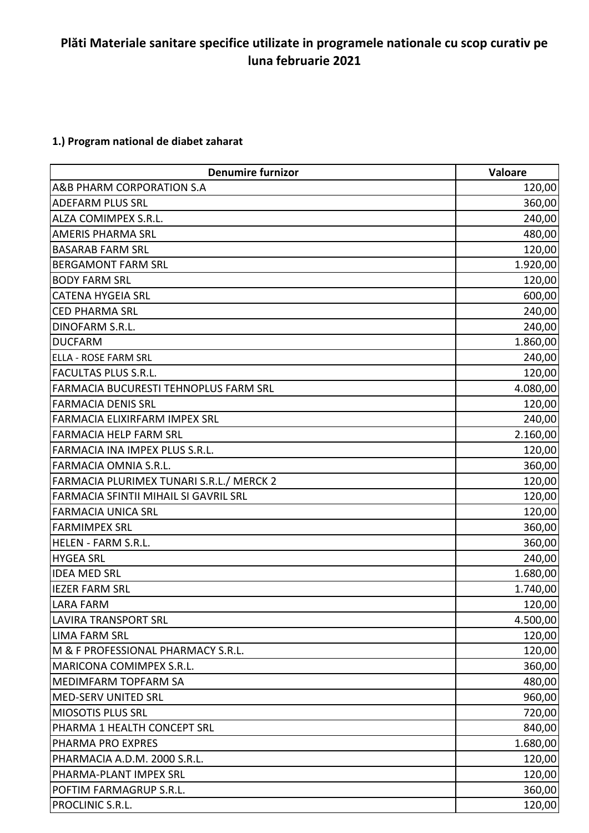## **Plăti Materiale sanitare specifice utilizate in programele nationale cu scop curativ pe luna februarie 2021**

## **1.) Program national de diabet zaharat**

| <b>Denumire furnizor</b>                 | Valoare  |
|------------------------------------------|----------|
| A&B PHARM CORPORATION S.A                | 120,00   |
| <b>ADEFARM PLUS SRL</b>                  | 360,00   |
| <b>ALZA COMIMPEX S.R.L.</b>              | 240,00   |
| <b>AMERIS PHARMA SRL</b>                 | 480,00   |
| <b>BASARAB FARM SRL</b>                  | 120,00   |
| <b>BERGAMONT FARM SRL</b>                | 1.920,00 |
| <b>BODY FARM SRL</b>                     | 120,00   |
| <b>CATENA HYGEIA SRL</b>                 | 600,00   |
| <b>CED PHARMA SRL</b>                    | 240,00   |
| DINOFARM S.R.L.                          | 240,00   |
| <b>DUCFARM</b>                           | 1.860,00 |
| <b>ELLA - ROSE FARM SRL</b>              | 240,00   |
| <b>FACULTAS PLUS S.R.L.</b>              | 120,00   |
| FARMACIA BUCURESTI TEHNOPLUS FARM SRL    | 4.080,00 |
| <b>FARMACIA DENIS SRL</b>                | 120,00   |
| FARMACIA ELIXIRFARM IMPEX SRL            | 240,00   |
| <b>FARMACIA HELP FARM SRL</b>            | 2.160,00 |
| FARMACIA INA IMPEX PLUS S.R.L.           | 120,00   |
| FARMACIA OMNIA S.R.L.                    | 360,00   |
| FARMACIA PLURIMEX TUNARI S.R.L./ MERCK 2 | 120,00   |
| FARMACIA SFINTII MIHAIL SI GAVRIL SRL    | 120,00   |
| <b>FARMACIA UNICA SRL</b>                | 120,00   |
| <b>FARMIMPEX SRL</b>                     | 360,00   |
| HELEN - FARM S.R.L.                      | 360,00   |
| <b>HYGEA SRL</b>                         | 240,00   |
| <b>IDEA MED SRL</b>                      | 1.680,00 |
| <b>IEZER FARM SRL</b>                    | 1.740,00 |
| <b>LARA FARM</b>                         | 120,00   |
| LAVIRA TRANSPORT SRL                     | 4.500,00 |
| <b>LIMA FARM SRL</b>                     | 120,00   |
| M & F PROFESSIONAL PHARMACY S.R.L.       | 120,00   |
| MARICONA COMIMPEX S.R.L.                 | 360,00   |
| MEDIMFARM TOPFARM SA                     | 480,00   |
| <b>MED-SERV UNITED SRL</b>               | 960,00   |
| <b>MIOSOTIS PLUS SRL</b>                 | 720,00   |
| PHARMA 1 HEALTH CONCEPT SRL              | 840,00   |
| <b>PHARMA PRO EXPRES</b>                 | 1.680,00 |
| PHARMACIA A.D.M. 2000 S.R.L.             | 120,00   |
| PHARMA-PLANT IMPEX SRL                   | 120,00   |
| POFTIM FARMAGRUP S.R.L.                  | 360,00   |
| PROCLINIC S.R.L.                         | 120,00   |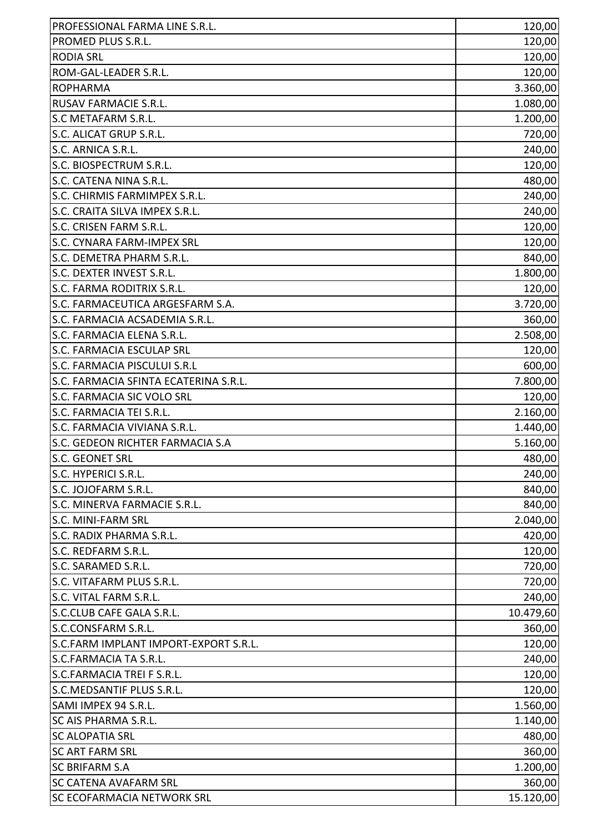| PROFESSIONAL FARMA LINE S.R.L.        | 120,00    |
|---------------------------------------|-----------|
| PROMED PLUS S.R.L.                    | 120,00    |
| <b>RODIA SRL</b>                      | 120,00    |
| ROM-GAL-LEADER S.R.L.                 | 120,00    |
| <b>ROPHARMA</b>                       | 3.360,00  |
| RUSAV FARMACIE S.R.L.                 | 1.080,00  |
| <b>S.C METAFARM S.R.L.</b>            | 1.200,00  |
| S.C. ALICAT GRUP S.R.L.               | 720,00    |
| S.C. ARNICA S.R.L.                    | 240,00    |
| S.C. BIOSPECTRUM S.R.L.               | 120,00    |
| S.C. CATENA NINA S.R.L.               | 480,00    |
| S.C. CHIRMIS FARMIMPEX S.R.L.         | 240,00    |
| S.C. CRAITA SILVA IMPEX S.R.L.        | 240,00    |
| S.C. CRISEN FARM S.R.L.               | 120,00    |
| S.C. CYNARA FARM-IMPEX SRL            | 120,00    |
| S.C. DEMETRA PHARM S.R.L.             | 840,00    |
| S.C. DEXTER INVEST S.R.L.             | 1.800,00  |
| S.C. FARMA RODITRIX S.R.L.            | 120,00    |
| S.C. FARMACEUTICA ARGESFARM S.A.      | 3.720,00  |
| S.C. FARMACIA ACSADEMIA S.R.L.        | 360,00    |
| S.C. FARMACIA ELENA S.R.L.            | 2.508,00  |
| S.C. FARMACIA ESCULAP SRL             | 120,00    |
| S.C. FARMACIA PISCULUI S.R.L          | 600,00    |
| S.C. FARMACIA SFINTA ECATERINA S.R.L. | 7.800,00  |
| S.C. FARMACIA SIC VOLO SRL            | 120,00    |
| S.C. FARMACIA TEI S.R.L.              | 2.160,00  |
| S.C. FARMACIA VIVIANA S.R.L.          | 1.440,00  |
| S.C. GEDEON RICHTER FARMACIA S.A      | 5.160,00  |
| S.C. GEONET SRL                       | 480,00    |
| S.C. HYPERICI S.R.L.                  | 240,00    |
| S.C. JOJOFARM S.R.L.                  | 840,00    |
| S.C. MINERVA FARMACIE S.R.L.          | 840,00    |
| S.C. MINI-FARM SRL                    | 2.040,00  |
| S.C. RADIX PHARMA S.R.L.              | 420,00    |
| S.C. REDFARM S.R.L.                   | 120,00    |
| S.C. SARAMED S.R.L.                   | 720,00    |
| S.C. VITAFARM PLUS S.R.L.             | 720,00    |
| S.C. VITAL FARM S.R.L.                | 240,00    |
| S.C.CLUB CAFE GALA S.R.L.             | 10.479,60 |
| S.C.CONSFARM S.R.L.                   | 360,00    |
| S.C.FARM IMPLANT IMPORT-EXPORT S.R.L. | 120,00    |
| S.C.FARMACIA TA S.R.L.                | 240,00    |
| S.C.FARMACIA TREI F S.R.L.            | 120,00    |
| S.C.MEDSANTIF PLUS S.R.L.             | 120,00    |
| SAMI IMPEX 94 S.R.L.                  | 1.560,00  |
| <b>SC AIS PHARMA S.R.L.</b>           | 1.140,00  |
| <b>SC ALOPATIA SRL</b>                | 480,00    |
| <b>SC ART FARM SRL</b>                | 360,00    |
| <b>SC BRIFARM S.A</b>                 | 1.200,00  |
| <b>SC CATENA AVAFARM SRL</b>          | 360,00    |
| <b>SC ECOFARMACIA NETWORK SRL</b>     | 15.120,00 |